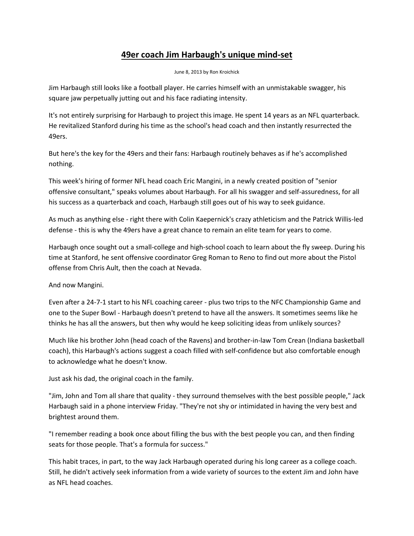## **49er coach Jim Harbaugh's unique mind-set**

June 8, 2013 by Ron Kroichick

Jim Harbaugh still looks like a football player. He carries himself with an unmistakable swagger, his square jaw perpetually jutting out and his face radiating intensity.

It's not entirely surprising for Harbaugh to project this image. He spent 14 years as an NFL quarterback. He revitalized Stanford during his time as the school's head coach and then instantly resurrected the 49ers.

But here's the key for the 49ers and their fans: Harbaugh routinely behaves as if he's accomplished nothing.

This week's hiring of former NFL head coach Eric Mangini, in a newly created position of "senior offensive consultant," speaks volumes about Harbaugh. For all his swagger and self-assuredness, for all his success as a quarterback and coach, Harbaugh still goes out of his way to seek guidance.

As much as anything else - right there with Colin Kaepernick's crazy athleticism and the Patrick Willis-led defense - this is why the 49ers have a great chance to remain an elite team for years to come.

Harbaugh once sought out a small-college and high-school coach to learn about the fly sweep. During his time at Stanford, he sent offensive coordinator Greg Roman to Reno to find out more about the Pistol offense from Chris Ault, then the coach at Nevada.

And now Mangini.

Even after a 24-7-1 start to his NFL coaching career - plus two trips to the NFC Championship Game and one to the Super Bowl - Harbaugh doesn't pretend to have all the answers. It sometimes seems like he thinks he has all the answers, but then why would he keep soliciting ideas from unlikely sources?

Much like his brother John (head coach of the Ravens) and brother-in-law Tom Crean (Indiana basketball coach), this Harbaugh's actions suggest a coach filled with self-confidence but also comfortable enough to acknowledge what he doesn't know.

Just ask his dad, the original coach in the family.

"Jim, John and Tom all share that quality - they surround themselves with the best possible people," Jack Harbaugh said in a phone interview Friday. "They're not shy or intimidated in having the very best and brightest around them.

"I remember reading a book once about filling the bus with the best people you can, and then finding seats for those people. That's a formula for success."

This habit traces, in part, to the way Jack Harbaugh operated during his long career as a college coach. Still, he didn't actively seek information from a wide variety of sources to the extent Jim and John have as NFL head coaches.